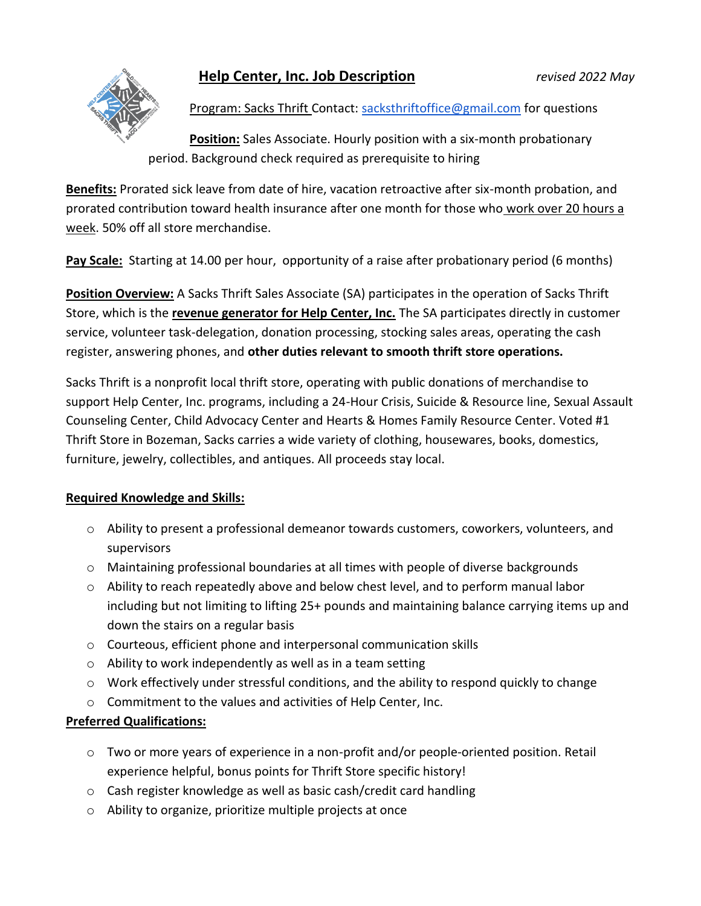## **Help Center, Inc. Job Description** *revised 2022 May*



Program: Sacks Thrift Contact: [sacksthriftoffice@gmail.com](mailto:sacksthriftoffice@gmail.com) for questions

**Position:** Sales Associate. Hourly position with a six-month probationary period. Background check required as prerequisite to hiring

**Benefits:** Prorated sick leave from date of hire, vacation retroactive after six-month probation, and prorated contribution toward health insurance after one month for those who work over 20 hours a week. 50% off all store merchandise.

**Pay Scale:** Starting at 14.00 per hour, opportunity of a raise after probationary period (6 months)

**Position Overview:** A Sacks Thrift Sales Associate (SA) participates in the operation of Sacks Thrift Store, which is the **revenue generator for Help Center, Inc.** The SA participates directly in customer service, volunteer task-delegation, donation processing, stocking sales areas, operating the cash register, answering phones, and **other duties relevant to smooth thrift store operations.**

Sacks Thrift is a nonprofit local thrift store, operating with public donations of merchandise to support Help Center, Inc. programs, including a 24-Hour Crisis, Suicide & Resource line, Sexual Assault Counseling Center, Child Advocacy Center and Hearts & Homes Family Resource Center. Voted #1 Thrift Store in Bozeman, Sacks carries a wide variety of clothing, housewares, books, domestics, furniture, jewelry, collectibles, and antiques. All proceeds stay local.

## **Required Knowledge and Skills:**

- o Ability to present a professional demeanor towards customers, coworkers, volunteers, and supervisors
- o Maintaining professional boundaries at all times with people of diverse backgrounds
- o Ability to reach repeatedly above and below chest level, and to perform manual labor including but not limiting to lifting 25+ pounds and maintaining balance carrying items up and down the stairs on a regular basis
- o Courteous, efficient phone and interpersonal communication skills
- $\circ$  Ability to work independently as well as in a team setting
- $\circ$  Work effectively under stressful conditions, and the ability to respond quickly to change
- o Commitment to the values and activities of Help Center, Inc.

## **Preferred Qualifications:**

- o Two or more years of experience in a non-profit and/or people-oriented position. Retail experience helpful, bonus points for Thrift Store specific history!
- o Cash register knowledge as well as basic cash/credit card handling
- o Ability to organize, prioritize multiple projects at once